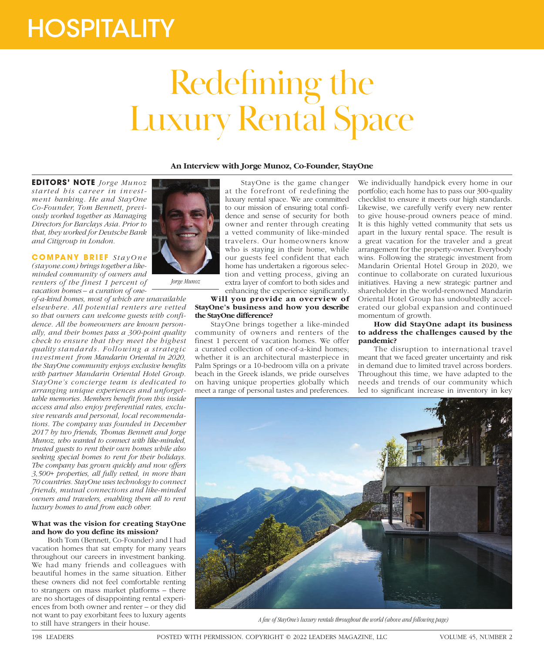# **HOSPITALITY**

# Redefining the Luxury Rental Space

# **An Interview with Jorge Munoz, Co-Founder, StayOne**

**EDITORS' NOTE** *Jorge Munoz started his career in investment banking. He and StayOne Co-Founder, Tom Bennett, previously worked together as Managing Directors for Barclays Asia. Prior to that, they worked for Deutsche Bank and Citigroup in London.*

**COMPANY BRIEF** StayOne *(stayone.com) brings together a likeminded community of owners and renters of the finest 1 percent of vacation homes – a curation of one-*

*of-a-kind homes, most of which are unavailable elsewhere. All potential renters are vetted so that owners can welcome guests with confidence. All the homeowners are known personally, and their homes pass a 300-point quality check to ensure that they meet the highest quality standards. Following a strategic investment from Mandarin Oriental in 2020, the StayOne community enjoys exclusive benefits with partner Mandarin Oriental Hotel Group. StayOne's concierge team is dedicated to arranging unique experiences and unforgettable memories. Members benefit from this inside access and also enjoy preferential rates, exclusive rewards and personal, local recommendations. The company was founded in December 2017 by two friends, Thomas Bennett and Jorge Munoz, who wanted to connect with like-minded, trusted guests to rent their own homes while also seeking special homes to rent for their holidays. The company has grown quickly and now offers 3,500+ properties, all fully vetted, in more than 70 countries. StayOne uses technology to connect friends, mutual connections and like-minded owners and travelers, enabling them all to rent luxury homes to and from each other.*

# **What was the vision for creating StayOne and how do you define its mission?**

Both Tom (Bennett, Co-Founder) and I had vacation homes that sat empty for many years throughout our careers in investment banking. We had many friends and colleagues with beautiful homes in the same situation. Either these owners did not feel comfortable renting to strangers on mass market platforms – there are no shortages of disappointing rental experiences from both owner and renter – or they did not want to pay exorbitant fees to luxury agents to still have strangers in their house.



*Jorge Munoz*

StayOne is the game changer at the forefront of redefining the luxury rental space. We are committed to our mission of ensuring total confidence and sense of security for both owner and renter through creating a vetted community of like-minded travelers. Our homeowners know who is staying in their home, while our guests feel confident that each home has undertaken a rigorous selection and vetting process, giving an extra layer of comfort to both sides and enhancing the experience significantly.

**Will you provide an overview of StayOne's business and how you describe the StayOne difference?**

StayOne brings together a like-minded community of owners and renters of the finest 1 percent of vacation homes. We offer a curated collection of one-of-a-kind homes; whether it is an architectural masterpiece in Palm Springs or a 10-bedroom villa on a private beach in the Greek islands, we pride ourselves on having unique properties globally which meet a range of personal tastes and preferences.

We individually handpick every home in our portfolio; each home has to pass our 300-quality checklist to ensure it meets our high standards. Likewise, we carefully verify every new renter to give house-proud owners peace of mind. It is this highly vetted community that sets us apart in the luxury rental space. The result is a great vacation for the traveler and a great arrangement for the property-owner. Everybody wins. Following the strategic investment from Mandarin Oriental Hotel Group in 2020, we continue to collaborate on curated luxurious initiatives. Having a new strategic partner and shareholder in the world-renowned Mandarin Oriental Hotel Group has undoubtedly accelerated our global expansion and continued momentum of growth.

### **How did StayOne adapt its business to address the challenges caused by the pandemic?**

The disruption to international travel meant that we faced greater uncertainty and risk in demand due to limited travel across borders. Throughout this time, we have adapted to the needs and trends of our community which led to significant increase in inventory in key



*A few of StayOne's luxury rentals throughout the world (above and following page)*